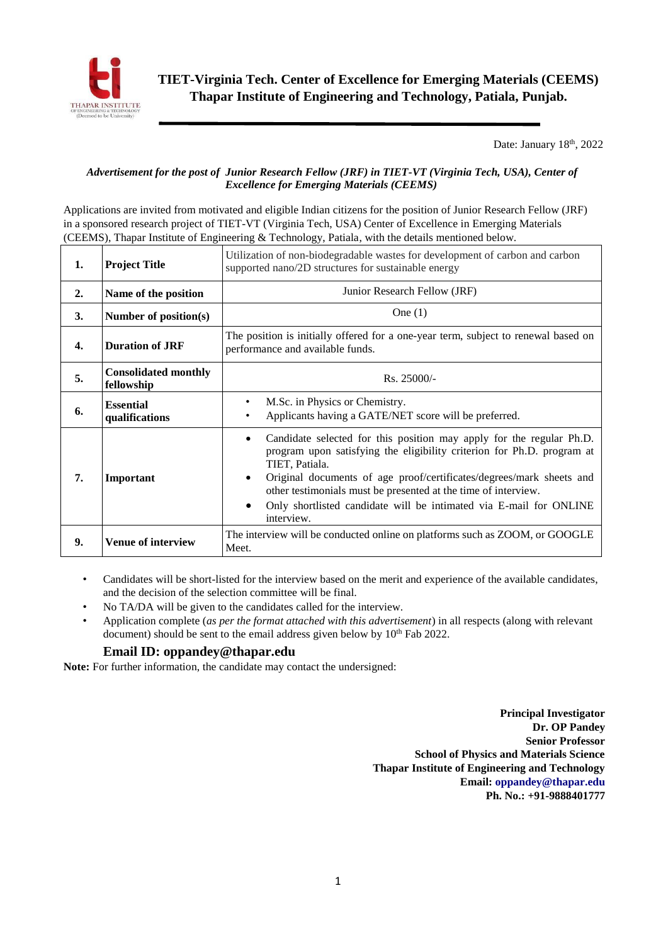

Date: January 18<sup>th</sup>, 2022

## *Advertisement for the post of Junior Research Fellow (JRF) in TIET-VT (Virginia Tech, USA), Center of Excellence for Emerging Materials (CEEMS)*

Applications are invited from motivated and eligible Indian citizens for the position of Junior Research Fellow (JRF) in a sponsored research project of TIET-VT (Virginia Tech, USA) Center of Excellence in Emerging Materials (CEEMS), Thapar Institute of Engineering & Technology, Patiala, with the details mentioned below.

| 1. | <b>Project Title</b>                      | Utilization of non-biodegradable wastes for development of carbon and carbon<br>supported nano/2D structures for sustainable energy                                                                                                                                                                                                                                                                                           |  |  |  |  |  |  |  |
|----|-------------------------------------------|-------------------------------------------------------------------------------------------------------------------------------------------------------------------------------------------------------------------------------------------------------------------------------------------------------------------------------------------------------------------------------------------------------------------------------|--|--|--|--|--|--|--|
| 2. | Name of the position                      | Junior Research Fellow (JRF)                                                                                                                                                                                                                                                                                                                                                                                                  |  |  |  |  |  |  |  |
| 3. | Number of position(s)                     | One $(1)$                                                                                                                                                                                                                                                                                                                                                                                                                     |  |  |  |  |  |  |  |
| 4. | <b>Duration of JRF</b>                    | The position is initially offered for a one-year term, subject to renewal based on<br>performance and available funds.                                                                                                                                                                                                                                                                                                        |  |  |  |  |  |  |  |
| 5. | <b>Consolidated monthly</b><br>fellowship | Rs. 25000/-                                                                                                                                                                                                                                                                                                                                                                                                                   |  |  |  |  |  |  |  |
| 6. | <b>Essential</b><br>qualifications        | M.Sc. in Physics or Chemistry.<br>Applicants having a GATE/NET score will be preferred.                                                                                                                                                                                                                                                                                                                                       |  |  |  |  |  |  |  |
| 7. | Important                                 | Candidate selected for this position may apply for the regular Ph.D.<br>$\bullet$<br>program upon satisfying the eligibility criterion for Ph.D. program at<br>TIET, Patiala.<br>Original documents of age proof/certificates/degrees/mark sheets and<br>٠<br>other testimonials must be presented at the time of interview.<br>Only shortlisted candidate will be intimated via E-mail for ONLINE<br>$\bullet$<br>interview. |  |  |  |  |  |  |  |
| 9. | <b>Venue of interview</b>                 | The interview will be conducted online on platforms such as ZOOM, or GOOGLE<br>Meet.                                                                                                                                                                                                                                                                                                                                          |  |  |  |  |  |  |  |

- Candidates will be short-listed for the interview based on the merit and experience of the available candidates, and the decision of the selection committee will be final.
- No TA/DA will be given to the candidates called for the interview.
- Application complete (*as per the format attached with this advertisement*) in all respects (along with relevant document) should be sent to the email address given below by 10<sup>th</sup> Fab 2022.

## **Email ID: oppandey@thapar.edu**

**Note:** For further information, the candidate may contact the undersigned:

**Principal Investigator Dr. OP Pandey Senior Professor School of Physics and Materials Science Thapar Institute of Engineering and Technology Email: oppandey@thapar.edu Ph. No.: +91-9888401777**